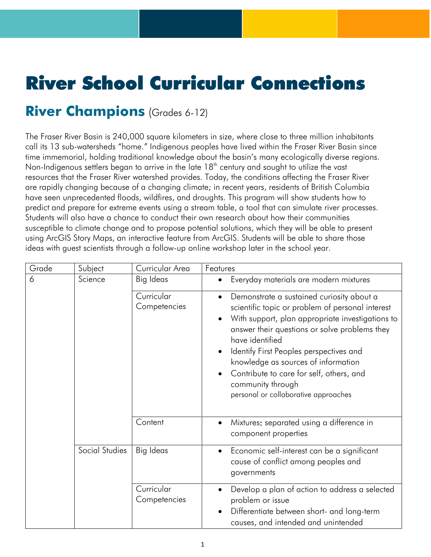## River School Curricular Connections

## **River Champions** (Grades 6-12)

The Fraser River Basin is 240,000 square kilometers in size, where close to three million inhabitants call its 13 sub-watersheds "home." Indigenous peoples have lived within the Fraser River Basin since time immemorial, holding traditional knowledge about the basin's many ecologically diverse regions. Non-Indigenous settlers began to arrive in the late 18<sup>th</sup> century and sought to utilize the vast resources that the Fraser River watershed provides. Today, the conditions affecting the Fraser River are rapidly changing because of a changing climate; in recent years, residents of British Columbia have seen unprecedented floods, wildfires, and droughts. This program will show students how to predict and prepare for extreme events using a stream table, a tool that can simulate river processes. Students will also have a chance to conduct their own research about how their communities susceptible to climate change and to propose potential solutions, which they will be able to present using ArcGIS Story Maps, an interactive feature from ArcGIS. Students will be able to share those ideas with guest scientists through a follow-up online workshop later in the school year.

| Grade | Subject        | Curricular Area            | Features                                                                                                                                                                                                                                                                                                                                                                                                                                   |
|-------|----------------|----------------------------|--------------------------------------------------------------------------------------------------------------------------------------------------------------------------------------------------------------------------------------------------------------------------------------------------------------------------------------------------------------------------------------------------------------------------------------------|
| 6     | Science        | Big Ideas                  | Everyday materials are modern mixtures<br>$\bullet$                                                                                                                                                                                                                                                                                                                                                                                        |
|       |                | Curricular<br>Competencies | Demonstrate a sustained curiosity about a<br>$\bullet$<br>scientific topic or problem of personal interest<br>With support, plan appropriate investigations to<br>$\bullet$<br>answer their questions or solve problems they<br>have identified<br>Identify First Peoples perspectives and<br>knowledge as sources of information<br>Contribute to care for self, others, and<br>community through<br>personal or collaborative approaches |
|       |                | Content                    | Mixtures: separated using a difference in<br>$\bullet$<br>component properties                                                                                                                                                                                                                                                                                                                                                             |
|       | Social Studies | Big Ideas                  | Economic self-interest can be a significant<br>$\bullet$<br>cause of conflict among peoples and<br>governments                                                                                                                                                                                                                                                                                                                             |
|       |                | Curricular<br>Competencies | Develop a plan of action to address a selected<br>problem or issue<br>Differentiate between short- and long-term<br>causes, and intended and unintended                                                                                                                                                                                                                                                                                    |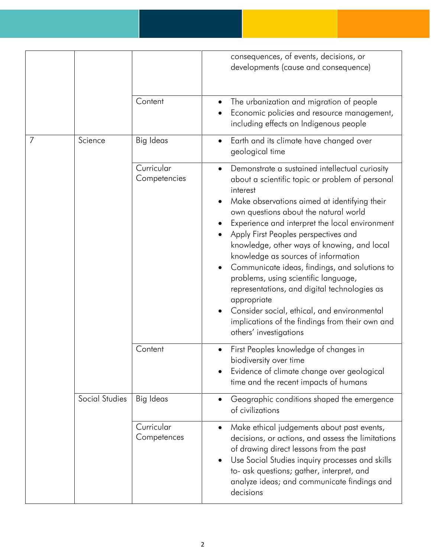|   |                |                            | consequences, of events, decisions, or<br>developments (cause and consequence)                                                                                                                                                                                                                                                                                                                                                                                                                                                                                                                                                                                             |
|---|----------------|----------------------------|----------------------------------------------------------------------------------------------------------------------------------------------------------------------------------------------------------------------------------------------------------------------------------------------------------------------------------------------------------------------------------------------------------------------------------------------------------------------------------------------------------------------------------------------------------------------------------------------------------------------------------------------------------------------------|
|   |                | Content                    | The urbanization and migration of people<br>Economic policies and resource management,<br>including effects on Indigenous people                                                                                                                                                                                                                                                                                                                                                                                                                                                                                                                                           |
| 7 | Science        | <b>Big Ideas</b>           | Earth and its climate have changed over<br>$\bullet$<br>geological time                                                                                                                                                                                                                                                                                                                                                                                                                                                                                                                                                                                                    |
|   |                | Curricular<br>Competencies | Demonstrate a sustained intellectual curiosity<br>about a scientific topic or problem of personal<br>interest<br>Make observations aimed at identifying their<br>own questions about the natural world<br>Experience and interpret the local environment<br>Apply First Peoples perspectives and<br>knowledge, other ways of knowing, and local<br>knowledge as sources of information<br>Communicate ideas, findings, and solutions to<br>problems, using scientific language,<br>representations, and digital technologies as<br>appropriate<br>Consider social, ethical, and environmental<br>implications of the findings from their own and<br>others' investigations |
|   |                | Content                    | First Peoples knowledge of changes in<br>biodiversity over time<br>Evidence of climate change over geological<br>time and the recent impacts of humans                                                                                                                                                                                                                                                                                                                                                                                                                                                                                                                     |
|   | Social Studies | Big Ideas                  | Geographic conditions shaped the emergence<br>$\bullet$<br>of civilizations                                                                                                                                                                                                                                                                                                                                                                                                                                                                                                                                                                                                |
|   |                | Curricular<br>Competences  | Make ethical judgements about past events,<br>$\bullet$<br>decisions, or actions, and assess the limitations<br>of drawing direct lessons from the past<br>Use Social Studies inquiry processes and skills<br>$\bullet$<br>to- ask questions; gather, interpret, and<br>analyze ideas; and communicate findings and<br>decisions                                                                                                                                                                                                                                                                                                                                           |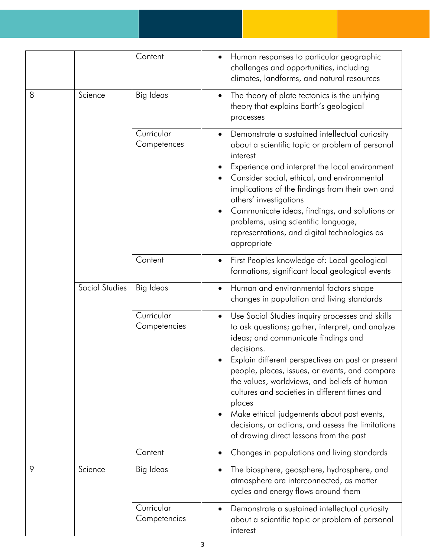|   |                | Content                    | Human responses to particular geographic<br>$\bullet$<br>challenges and opportunities, including<br>climates, landforms, and natural resources                                                                                                                                                                                                                                                                                                                                                                                        |
|---|----------------|----------------------------|---------------------------------------------------------------------------------------------------------------------------------------------------------------------------------------------------------------------------------------------------------------------------------------------------------------------------------------------------------------------------------------------------------------------------------------------------------------------------------------------------------------------------------------|
| 8 | Science        | Big Ideas                  | The theory of plate tectonics is the unifying<br>$\bullet$<br>theory that explains Earth's geological<br>processes                                                                                                                                                                                                                                                                                                                                                                                                                    |
|   |                | Curricular<br>Competences  | Demonstrate a sustained intellectual curiosity<br>$\bullet$<br>about a scientific topic or problem of personal<br>interest<br>Experience and interpret the local environment<br>Consider social, ethical, and environmental<br>implications of the findings from their own and<br>others' investigations<br>Communicate ideas, findings, and solutions or<br>problems, using scientific language,<br>representations, and digital technologies as<br>appropriate                                                                      |
|   |                | Content                    | First Peoples knowledge of: Local geological<br>$\bullet$<br>formations, significant local geological events                                                                                                                                                                                                                                                                                                                                                                                                                          |
|   | Social Studies | <b>Big Ideas</b>           | Human and environmental factors shape<br>$\bullet$<br>changes in population and living standards                                                                                                                                                                                                                                                                                                                                                                                                                                      |
|   |                | Curricular<br>Competencies | Use Social Studies inquiry processes and skills<br>$\bullet$<br>to ask questions; gather, interpret, and analyze<br>ideas; and communicate findings and<br>decisions.<br>Explain different perspectives on past or present<br>people, places, issues, or events, and compare<br>the values, worldviews, and beliefs of human<br>cultures and societies in different times and<br>places<br>Make ethical judgements about past events,<br>decisions, or actions, and assess the limitations<br>of drawing direct lessons from the past |
|   |                | Content                    | Changes in populations and living standards                                                                                                                                                                                                                                                                                                                                                                                                                                                                                           |
| 9 | Science        | Big Ideas                  | The biosphere, geosphere, hydrosphere, and<br>٠<br>atmosphere are interconnected, as matter<br>cycles and energy flows around them                                                                                                                                                                                                                                                                                                                                                                                                    |
|   |                | Curricular<br>Competencies | Demonstrate a sustained intellectual curiosity<br>about a scientific topic or problem of personal<br>interest                                                                                                                                                                                                                                                                                                                                                                                                                         |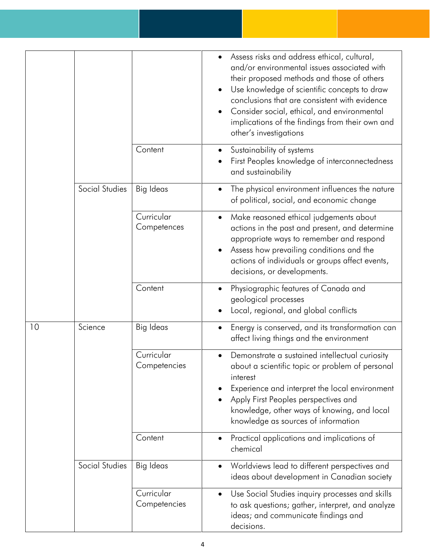|    |                |                            | Assess risks and address ethical, cultural,<br>and/or environmental issues associated with<br>their proposed methods and those of others<br>Use knowledge of scientific concepts to draw<br>$\bullet$<br>conclusions that are consistent with evidence<br>Consider social, ethical, and environmental<br>implications of the findings from their own and<br>other's investigations |
|----|----------------|----------------------------|------------------------------------------------------------------------------------------------------------------------------------------------------------------------------------------------------------------------------------------------------------------------------------------------------------------------------------------------------------------------------------|
|    |                | Content                    | Sustainability of systems<br>$\bullet$<br>First Peoples knowledge of interconnectedness<br>and sustainability                                                                                                                                                                                                                                                                      |
|    | Social Studies | <b>Big Ideas</b>           | The physical environment influences the nature<br>of political, social, and economic change                                                                                                                                                                                                                                                                                        |
|    |                | Curricular<br>Competences  | Make reasoned ethical judgements about<br>$\bullet$<br>actions in the past and present, and determine<br>appropriate ways to remember and respond<br>Assess how prevailing conditions and the<br>actions of individuals or groups affect events,<br>decisions, or developments.                                                                                                    |
|    |                | Content                    | Physiographic features of Canada and<br>$\bullet$<br>geological processes<br>Local, regional, and global conflicts                                                                                                                                                                                                                                                                 |
| 10 | Science        | <b>Big Ideas</b>           | Energy is conserved, and its transformation can<br>$\bullet$<br>affect living things and the environment                                                                                                                                                                                                                                                                           |
|    |                | Curricular<br>Competencies | Demonstrate a sustained intellectual curiosity<br>$\bullet$<br>about a scientific topic or problem of personal<br>interest<br>Experience and interpret the local environment<br>Apply First Peoples perspectives and<br>knowledge, other ways of knowing, and local<br>knowledge as sources of information                                                                         |
|    |                | Content                    | Practical applications and implications of<br>$\bullet$<br>chemical                                                                                                                                                                                                                                                                                                                |
|    | Social Studies | Big Ideas                  | Worldviews lead to different perspectives and<br>$\bullet$<br>ideas about development in Canadian society                                                                                                                                                                                                                                                                          |
|    |                | Curricular<br>Competencies | Use Social Studies inquiry processes and skills<br>$\bullet$<br>to ask questions; gather, interpret, and analyze<br>ideas; and communicate findings and<br>decisions.                                                                                                                                                                                                              |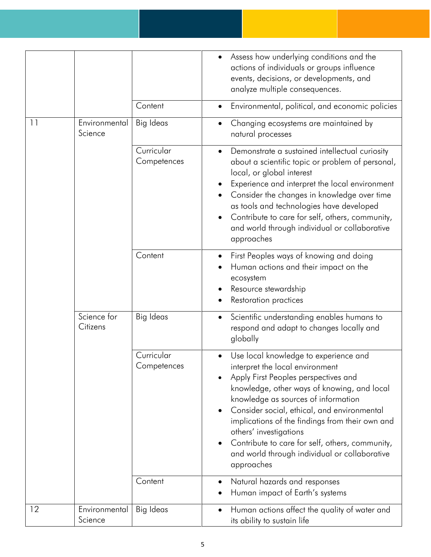|    |                          |                           | Assess how underlying conditions and the<br>actions of individuals or groups influence<br>events, decisions, or developments, and<br>analyze multiple consequences.                                                                                                                                                                                                                                                                                                                         |
|----|--------------------------|---------------------------|---------------------------------------------------------------------------------------------------------------------------------------------------------------------------------------------------------------------------------------------------------------------------------------------------------------------------------------------------------------------------------------------------------------------------------------------------------------------------------------------|
|    |                          | Content                   | Environmental, political, and economic policies<br>$\bullet$                                                                                                                                                                                                                                                                                                                                                                                                                                |
| 11 | Environmental<br>Science | <b>Big Ideas</b>          | Changing ecosystems are maintained by<br>$\bullet$<br>natural processes                                                                                                                                                                                                                                                                                                                                                                                                                     |
|    |                          | Curricular<br>Competences | Demonstrate a sustained intellectual curiosity<br>$\bullet$<br>about a scientific topic or problem of personal,<br>local, or global interest<br>Experience and interpret the local environment<br>Consider the changes in knowledge over time<br>as tools and technologies have developed<br>Contribute to care for self, others, community,<br>and world through individual or collaborative<br>approaches                                                                                 |
|    |                          | Content                   | First Peoples ways of knowing and doing<br>Human actions and their impact on the<br>ecosystem<br>Resource stewardship<br>Restoration practices                                                                                                                                                                                                                                                                                                                                              |
|    | Science for<br>Citizens  | Big Ideas                 | Scientific understanding enables humans to<br>$\bullet$<br>respond and adapt to changes locally and<br>globally                                                                                                                                                                                                                                                                                                                                                                             |
|    |                          | Curricular<br>Competences | Use local knowledge to experience and<br>interpret the local environment<br>Apply First Peoples perspectives and<br>$\bullet$<br>knowledge, other ways of knowing, and local<br>knowledge as sources of information<br>Consider social, ethical, and environmental<br>$\bullet$<br>implications of the findings from their own and<br>others' investigations<br>Contribute to care for self, others, community,<br>$\bullet$<br>and world through individual or collaborative<br>approaches |
|    |                          | Content                   | Natural hazards and responses<br>$\bullet$<br>Human impact of Earth's systems                                                                                                                                                                                                                                                                                                                                                                                                               |
| 12 | Environmental<br>Science | <b>Big Ideas</b>          | Human actions affect the quality of water and<br>$\bullet$<br>its ability to sustain life                                                                                                                                                                                                                                                                                                                                                                                                   |